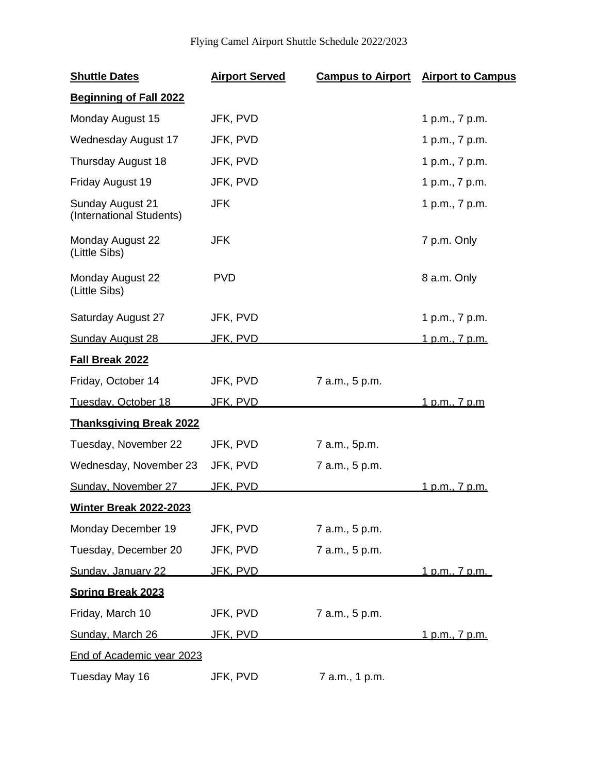## Flying Camel Airport Shuttle Schedule 2022/2023

| <b>Shuttle Dates</b>                         | <b>Airport Served</b> |                | <b>Campus to Airport</b> Airport to Campus |
|----------------------------------------------|-----------------------|----------------|--------------------------------------------|
| <b>Beginning of Fall 2022</b>                |                       |                |                                            |
| Monday August 15                             | JFK, PVD              |                | 1 p.m., 7 p.m.                             |
| Wednesday August 17                          | JFK, PVD              |                | 1 p.m., 7 p.m.                             |
| Thursday August 18                           | JFK, PVD              |                | 1 p.m., 7 p.m.                             |
| Friday August 19                             | JFK, PVD              |                | 1 p.m., 7 p.m.                             |
| Sunday August 21<br>(International Students) | <b>JFK</b>            |                | 1 p.m., 7 p.m.                             |
| Monday August 22<br>(Little Sibs)            | <b>JFK</b>            |                | 7 p.m. Only                                |
| Monday August 22<br>(Little Sibs)            | <b>PVD</b>            |                | 8 a.m. Only                                |
| Saturday August 27                           | JFK, PVD              |                | 1 p.m., 7 p.m.                             |
| <b>Sunday August 28</b>                      | <u>JFK, PVD</u>       |                | <u>1 p.m., 7 p.m.</u>                      |
| Fall Break 2022                              |                       |                |                                            |
| Friday, October 14                           | JFK, PVD              | 7 a.m., 5 p.m. |                                            |
| Tuesday, October 18                          | <u>JFK, PVD</u>       |                | <u>1 p.m., 7 p.m</u>                       |
| <b>Thanksgiving Break 2022</b>               |                       |                |                                            |
| Tuesday, November 22                         | JFK, PVD              | 7 a.m., 5p.m.  |                                            |
| Wednesday, November 23                       | JFK, PVD              | 7 a.m., 5 p.m. |                                            |
| Sunday, November 27                          | JFK, PVD              |                | 1 p.m., 7 p.m.                             |
| <b>Winter Break 2022-2023</b>                |                       |                |                                            |
| Monday December 19                           | JFK, PVD              | 7 a.m., 5 p.m. |                                            |
| Tuesday, December 20                         | JFK, PVD              | 7 a.m., 5 p.m. |                                            |
| Sunday, January 22                           | <u>JFK, PVD</u>       |                | <u>1 p.m., 7 p.m. </u>                     |
| <b>Spring Break 2023</b>                     |                       |                |                                            |
| Friday, March 10                             | JFK, PVD              | 7 a.m., 5 p.m. |                                            |
| Sunday, March 26                             | <u>JFK, PVD</u>       |                | <u>1 p.m., 7 p.m.</u>                      |
| <b>End of Academic year 2023</b>             |                       |                |                                            |
| Tuesday May 16                               | JFK, PVD              | 7 a.m., 1 p.m. |                                            |